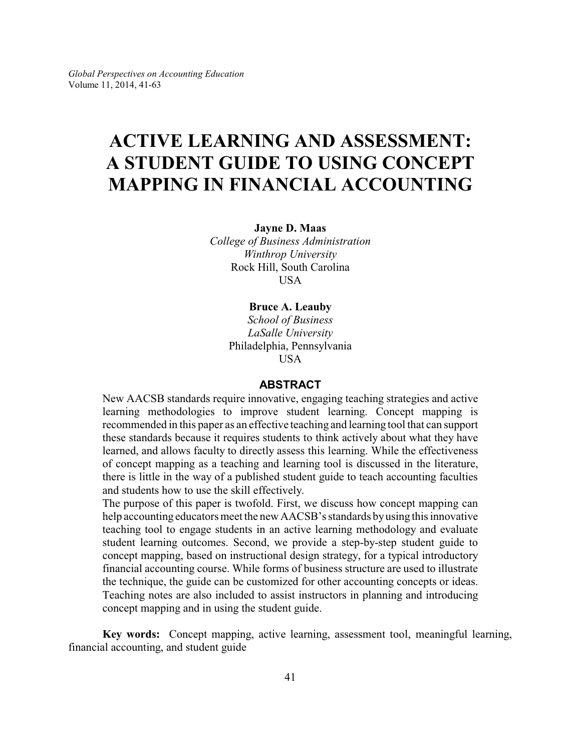# **ACTIVE LEARNING AND ASSESSMENT: A STUDENT GUIDE TO USING CONCEPT MAPPING IN FINANCIAL ACCOUNTING**

**Jayne D. Maas**

*College of Business Administration Winthrop University* Rock Hill, South Carolina USA

## **Bruce A. Leauby**

*School of Business LaSalle University* Philadelphia, Pennsylvania **USA** 

## **ABSTRACT**

New AACSB standards require innovative, engaging teaching strategies and active learning methodologies to improve student learning. Concept mapping is recommended in this paper as an effective teaching and learning tool that can support these standards because it requires students to think actively about what they have learned, and allows faculty to directly assess this learning. While the effectiveness of concept mapping as a teaching and learning tool is discussed in the literature, there is little in the way of a published student guide to teach accounting faculties and students how to use the skill effectively.

The purpose of this paper is twofold. First, we discuss how concept mapping can help accounting educators meet the new AACSB's standards byusing this innovative teaching tool to engage students in an active learning methodology and evaluate student learning outcomes. Second, we provide a step-by-step student guide to concept mapping, based on instructional design strategy, for a typical introductory financial accounting course. While forms of business structure are used to illustrate the technique, the guide can be customized for other accounting concepts or ideas. Teaching notes are also included to assist instructors in planning and introducing concept mapping and in using the student guide.

**Key words:** Concept mapping, active learning, assessment tool, meaningful learning, financial accounting, and student guide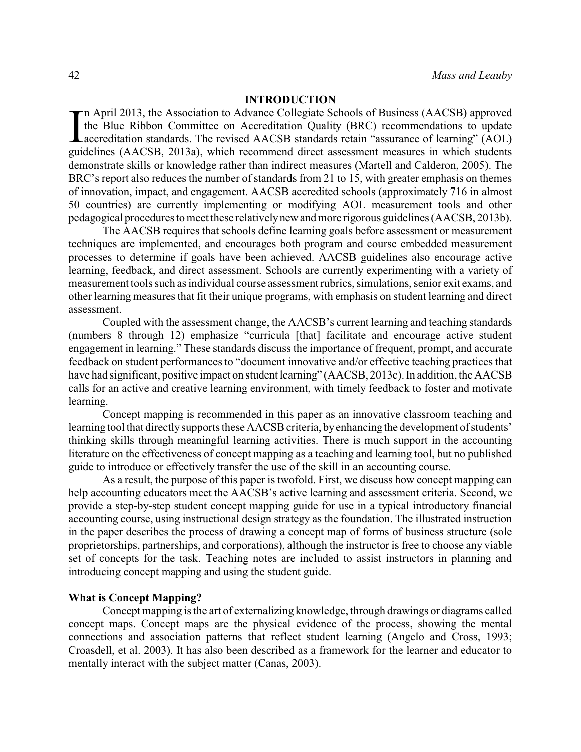# **INTRODUCTION**

In April 2013, the Association to Advance Collegiate Schools of Business (AACSB) approved<br>the Blue Ribbon Committee on Accreditation Quality (BRC) recommendations to update<br>accreditation standards. The revised AACSB standa n April 2013, the Association to Advance Collegiate Schools of Business (AACSB) approved the Blue Ribbon Committee on Accreditation Quality (BRC) recommendations to update Laccreditation standards. The revised AACSB standards retain "assurance of learning" (AOL) demonstrate skills or knowledge rather than indirect measures (Martell and Calderon, 2005). The BRC's report also reduces the number of standards from 21 to 15, with greater emphasis on themes of innovation, impact, and engagement. AACSB accredited schools (approximately 716 in almost 50 countries) are currently implementing or modifying AOL measurement tools and other pedagogical procedures to meet these relativelynewand more rigorous guidelines (AACSB, 2013b).

The AACSB requires that schools define learning goals before assessment or measurement techniques are implemented, and encourages both program and course embedded measurement processes to determine if goals have been achieved. AACSB guidelines also encourage active learning, feedback, and direct assessment. Schools are currently experimenting with a variety of measurement tools such as individual course assessment rubrics, simulations, senior exit exams, and other learning measures that fit their unique programs, with emphasis on student learning and direct assessment.

Coupled with the assessment change, the AACSB's current learning and teaching standards (numbers 8 through 12) emphasize "curricula [that] facilitate and encourage active student engagement in learning." These standards discuss the importance of frequent, prompt, and accurate feedback on student performances to "document innovative and/or effective teaching practices that have had significant, positive impact on student learning" (AACSB, 2013c). In addition, the AACSB calls for an active and creative learning environment, with timely feedback to foster and motivate learning.

Concept mapping is recommended in this paper as an innovative classroom teaching and learning tool that directly supports these AACSB criteria, by enhancing the development of students' thinking skills through meaningful learning activities. There is much support in the accounting literature on the effectiveness of concept mapping as a teaching and learning tool, but no published guide to introduce or effectively transfer the use of the skill in an accounting course.

As a result, the purpose of this paper is twofold. First, we discuss how concept mapping can help accounting educators meet the AACSB's active learning and assessment criteria. Second, we provide a step-by-step student concept mapping guide for use in a typical introductory financial accounting course, using instructional design strategy as the foundation. The illustrated instruction in the paper describes the process of drawing a concept map of forms of business structure (sole proprietorships, partnerships, and corporations), although the instructor is free to choose any viable set of concepts for the task. Teaching notes are included to assist instructors in planning and introducing concept mapping and using the student guide.

## **What is Concept Mapping?**

Concept mapping is the art of externalizing knowledge, through drawings or diagrams called concept maps. Concept maps are the physical evidence of the process, showing the mental connections and association patterns that reflect student learning (Angelo and Cross, 1993; Croasdell, et al. 2003). It has also been described as a framework for the learner and educator to mentally interact with the subject matter (Canas, 2003).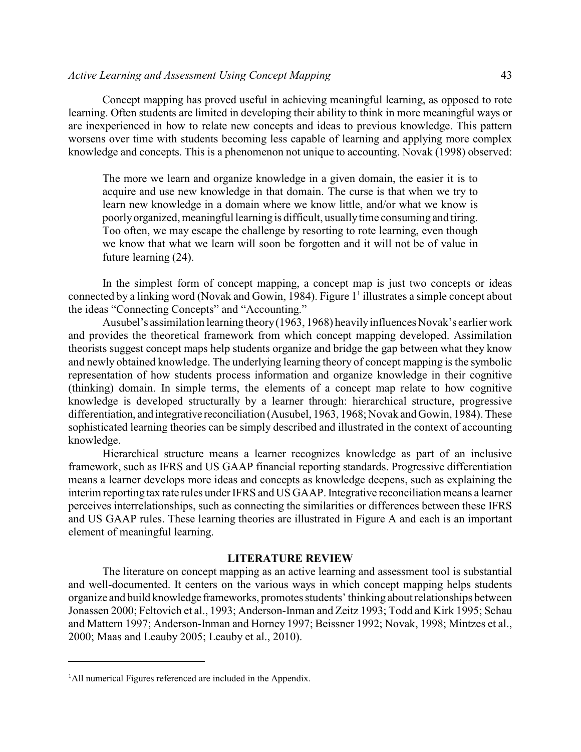Concept mapping has proved useful in achieving meaningful learning, as opposed to rote learning. Often students are limited in developing their ability to think in more meaningful ways or are inexperienced in how to relate new concepts and ideas to previous knowledge. This pattern worsens over time with students becoming less capable of learning and applying more complex knowledge and concepts. This is a phenomenon not unique to accounting. Novak (1998) observed:

The more we learn and organize knowledge in a given domain, the easier it is to acquire and use new knowledge in that domain. The curse is that when we try to learn new knowledge in a domain where we know little, and/or what we know is poorlyorganized, meaningful learning is difficult, usuallytime consuming and tiring. Too often, we may escape the challenge by resorting to rote learning, even though we know that what we learn will soon be forgotten and it will not be of value in future learning (24).

In the simplest form of concept mapping, a concept map is just two concepts or ideas connected by a linking word (Novak and Gowin, 1984). Figure 1 1 illustrates a simple concept about the ideas "Connecting Concepts" and "Accounting."

Ausubel's assimilation learning theory(1963, 1968) heavilyinfluences Novak's earlier work and provides the theoretical framework from which concept mapping developed. Assimilation theorists suggest concept maps help students organize and bridge the gap between what they know and newly obtained knowledge. The underlying learning theory of concept mapping is the symbolic representation of how students process information and organize knowledge in their cognitive (thinking) domain. In simple terms, the elements of a concept map relate to how cognitive knowledge is developed structurally by a learner through: hierarchical structure, progressive differentiation, and integrative reconciliation (Ausubel, 1963, 1968; Novak and Gowin, 1984). These sophisticated learning theories can be simply described and illustrated in the context of accounting knowledge.

Hierarchical structure means a learner recognizes knowledge as part of an inclusive framework, such as IFRS and US GAAP financial reporting standards. Progressive differentiation means a learner develops more ideas and concepts as knowledge deepens, such as explaining the interim reporting tax rate rules under IFRS and US GAAP. Integrative reconciliation means a learner perceives interrelationships, such as connecting the similarities or differences between these IFRS and US GAAP rules. These learning theories are illustrated in Figure A and each is an important element of meaningful learning.

#### **LITERATURE REVIEW**

The literature on concept mapping as an active learning and assessment tool is substantial and well-documented. It centers on the various ways in which concept mapping helps students organize and build knowledge frameworks, promotes students' thinking about relationships between Jonassen 2000; Feltovich et al., 1993; Anderson-Inman and Zeitz 1993; Todd and Kirk 1995; Schau and Mattern 1997; Anderson-Inman and Horney 1997; Beissner 1992; Novak, 1998; Mintzes et al., 2000; Maas and Leauby 2005; Leauby et al., 2010).

<sup>&</sup>lt;sup>1</sup>All numerical Figures referenced are included in the Appendix.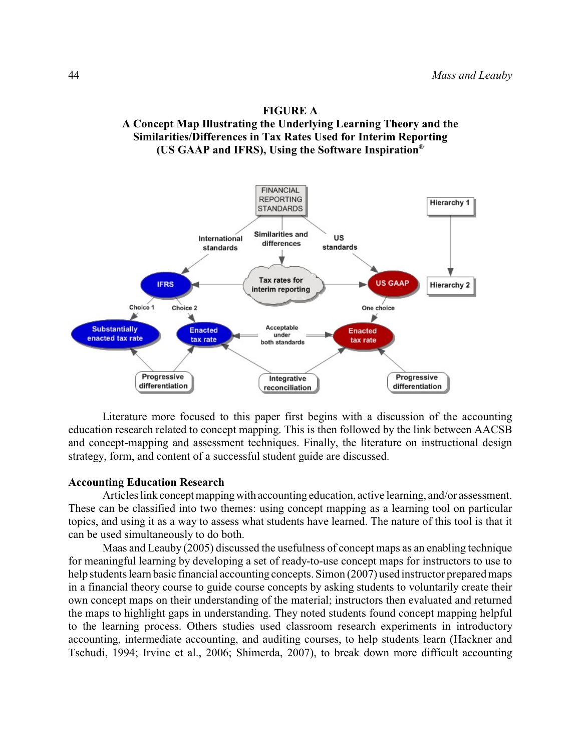



Literature more focused to this paper first begins with a discussion of the accounting education research related to concept mapping. This is then followed by the link between AACSB and concept-mapping and assessment techniques. Finally, the literature on instructional design strategy, form, and content of a successful student guide are discussed.

#### **Accounting Education Research**

Articles link concept mapping with accounting education, active learning, and/or assessment. These can be classified into two themes: using concept mapping as a learning tool on particular topics, and using it as a way to assess what students have learned. The nature of this tool is that it can be used simultaneously to do both.

Maas and Leauby (2005) discussed the usefulness of concept maps as an enabling technique for meaningful learning by developing a set of ready-to-use concept maps for instructors to use to help students learn basic financial accounting concepts. Simon (2007) used instructor prepared maps in a financial theory course to guide course concepts by asking students to voluntarily create their own concept maps on their understanding of the material; instructors then evaluated and returned the maps to highlight gaps in understanding. They noted students found concept mapping helpful to the learning process. Others studies used classroom research experiments in introductory accounting, intermediate accounting, and auditing courses, to help students learn (Hackner and Tschudi, 1994; Irvine et al., 2006; Shimerda, 2007), to break down more difficult accounting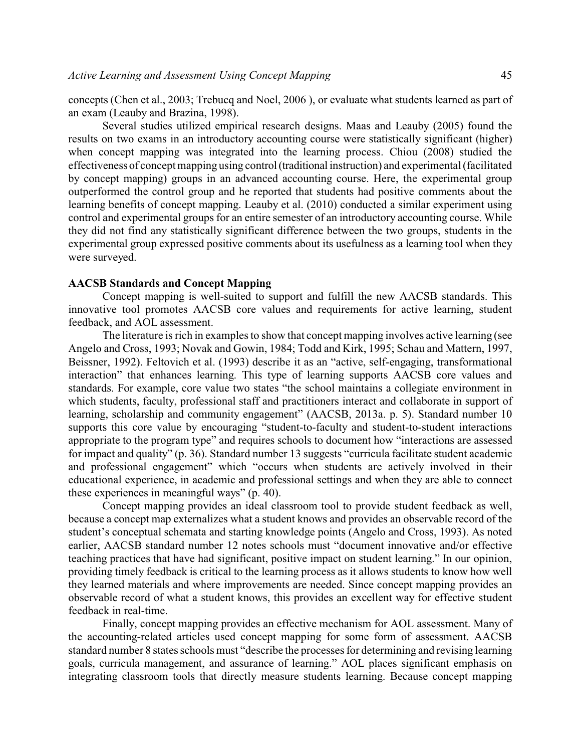concepts (Chen et al., 2003; Trebucq and Noel, 2006 ), or evaluate what students learned as part of an exam (Leauby and Brazina, 1998).

Several studies utilized empirical research designs. Maas and Leauby (2005) found the results on two exams in an introductory accounting course were statistically significant (higher) when concept mapping was integrated into the learning process. Chiou (2008) studied the effectiveness of concept mapping using control(traditional instruction) and experimental (facilitated by concept mapping) groups in an advanced accounting course. Here, the experimental group outperformed the control group and he reported that students had positive comments about the learning benefits of concept mapping. Leauby et al. (2010) conducted a similar experiment using control and experimental groups for an entire semester of an introductory accounting course. While they did not find any statistically significant difference between the two groups, students in the experimental group expressed positive comments about its usefulness as a learning tool when they were surveyed.

#### **AACSB Standards and Concept Mapping**

Concept mapping is well-suited to support and fulfill the new AACSB standards. This innovative tool promotes AACSB core values and requirements for active learning, student feedback, and AOL assessment.

The literature is rich in examples to show that concept mapping involves active learning (see Angelo and Cross, 1993; Novak and Gowin, 1984; Todd and Kirk, 1995; Schau and Mattern, 1997, Beissner, 1992). Feltovich et al. (1993) describe it as an "active, self-engaging, transformational interaction" that enhances learning. This type of learning supports AACSB core values and standards. For example, core value two states "the school maintains a collegiate environment in which students, faculty, professional staff and practitioners interact and collaborate in support of learning, scholarship and community engagement" (AACSB, 2013a. p. 5). Standard number 10 supports this core value by encouraging "student-to-faculty and student-to-student interactions appropriate to the program type" and requires schools to document how "interactions are assessed for impact and quality" (p. 36). Standard number 13 suggests "curricula facilitate student academic and professional engagement" which "occurs when students are actively involved in their educational experience, in academic and professional settings and when they are able to connect these experiences in meaningful ways" (p. 40).

Concept mapping provides an ideal classroom tool to provide student feedback as well, because a concept map externalizes what a student knows and provides an observable record of the student's conceptual schemata and starting knowledge points (Angelo and Cross, 1993). As noted earlier, AACSB standard number 12 notes schools must "document innovative and/or effective teaching practices that have had significant, positive impact on student learning." In our opinion, providing timely feedback is critical to the learning process as it allows students to know how well they learned materials and where improvements are needed. Since concept mapping provides an observable record of what a student knows, this provides an excellent way for effective student feedback in real-time.

Finally, concept mapping provides an effective mechanism for AOL assessment. Many of the accounting-related articles used concept mapping for some form of assessment. AACSB standard number 8 states schools must "describe the processes for determining and revising learning goals, curricula management, and assurance of learning." AOL places significant emphasis on integrating classroom tools that directly measure students learning. Because concept mapping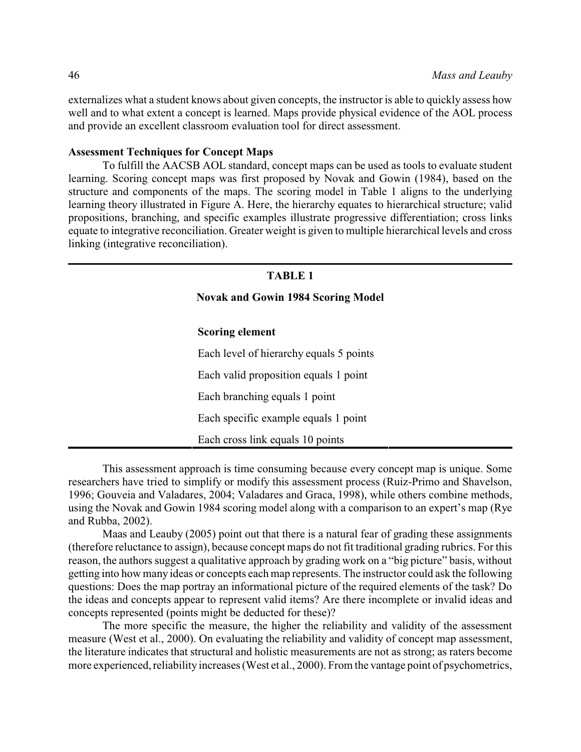externalizes what a student knows about given concepts, the instructor is able to quickly assess how well and to what extent a concept is learned. Maps provide physical evidence of the AOL process and provide an excellent classroom evaluation tool for direct assessment.

#### **Assessment Techniques for Concept Maps**

To fulfill the AACSB AOL standard, concept maps can be used as tools to evaluate student learning. Scoring concept maps was first proposed by Novak and Gowin (1984), based on the structure and components of the maps. The scoring model in Table 1 aligns to the underlying learning theory illustrated in Figure A. Here, the hierarchy equates to hierarchical structure; valid propositions, branching, and specific examples illustrate progressive differentiation; cross links equate to integrative reconciliation. Greater weight is given to multiple hierarchical levels and cross linking (integrative reconciliation).

#### **TABLE 1**

**Novak and Gowin 1984 Scoring Model**

#### **Scoring element**

Each level of hierarchy equals 5 points Each valid proposition equals 1 point Each branching equals 1 point Each specific example equals 1 point Each cross link equals 10 points

This assessment approach is time consuming because every concept map is unique. Some researchers have tried to simplify or modify this assessment process (Ruiz-Primo and Shavelson, 1996; Gouveia and Valadares, 2004; Valadares and Graca, 1998), while others combine methods, using the Novak and Gowin 1984 scoring model along with a comparison to an expert's map (Rye and Rubba, 2002).

Maas and Leauby (2005) point out that there is a natural fear of grading these assignments (therefore reluctance to assign), because concept maps do not fit traditional grading rubrics. For this reason, the authors suggest a qualitative approach by grading work on a "big picture" basis, without getting into how many ideas or concepts each map represents. The instructor could ask the following questions: Does the map portray an informational picture of the required elements of the task? Do the ideas and concepts appear to represent valid items? Are there incomplete or invalid ideas and concepts represented (points might be deducted for these)?

The more specific the measure, the higher the reliability and validity of the assessment measure (West et al., 2000). On evaluating the reliability and validity of concept map assessment, the literature indicates that structural and holistic measurements are not as strong; as raters become more experienced, reliability increases (West et al., 2000). From the vantage point of psychometrics,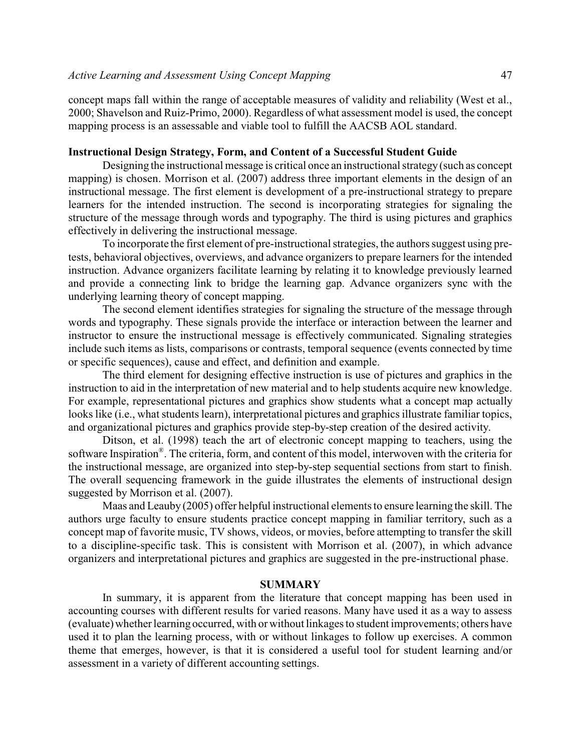concept maps fall within the range of acceptable measures of validity and reliability (West et al., 2000; Shavelson and Ruiz-Primo, 2000). Regardless of what assessment model is used, the concept mapping process is an assessable and viable tool to fulfill the AACSB AOL standard.

#### **Instructional Design Strategy, Form, and Content of a Successful Student Guide**

Designing the instructional message is critical once an instructional strategy(such as concept mapping) is chosen. Morrison et al. (2007) address three important elements in the design of an instructional message. The first element is development of a pre-instructional strategy to prepare learners for the intended instruction. The second is incorporating strategies for signaling the structure of the message through words and typography. The third is using pictures and graphics effectively in delivering the instructional message.

To incorporate the first element of pre-instructional strategies, the authors suggest using pretests, behavioral objectives, overviews, and advance organizers to prepare learners for the intended instruction. Advance organizers facilitate learning by relating it to knowledge previously learned and provide a connecting link to bridge the learning gap. Advance organizers sync with the underlying learning theory of concept mapping.

The second element identifies strategies for signaling the structure of the message through words and typography. These signals provide the interface or interaction between the learner and instructor to ensure the instructional message is effectively communicated. Signaling strategies include such items as lists, comparisons or contrasts, temporal sequence (events connected by time or specific sequences), cause and effect, and definition and example.

The third element for designing effective instruction is use of pictures and graphics in the instruction to aid in the interpretation of new material and to help students acquire new knowledge. For example, representational pictures and graphics show students what a concept map actually looks like (i.e., what students learn), interpretational pictures and graphics illustrate familiar topics, and organizational pictures and graphics provide step-by-step creation of the desired activity.

Ditson, et al. (1998) teach the art of electronic concept mapping to teachers, using the software Inspiration® . The criteria, form, and content of this model, interwoven with the criteria for the instructional message, are organized into step-by-step sequential sections from start to finish. The overall sequencing framework in the guide illustrates the elements of instructional design suggested by Morrison et al. (2007).

Maas and Leauby (2005) offer helpful instructional elements to ensure learning the skill. The authors urge faculty to ensure students practice concept mapping in familiar territory, such as a concept map of favorite music, TV shows, videos, or movies, before attempting to transfer the skill to a discipline-specific task. This is consistent with Morrison et al. (2007), in which advance organizers and interpretational pictures and graphics are suggested in the pre-instructional phase.

#### **SUMMARY**

In summary, it is apparent from the literature that concept mapping has been used in accounting courses with different results for varied reasons. Many have used it as a way to assess (evaluate) whether learning occurred, with or without linkages to student improvements; others have used it to plan the learning process, with or without linkages to follow up exercises. A common theme that emerges, however, is that it is considered a useful tool for student learning and/or assessment in a variety of different accounting settings.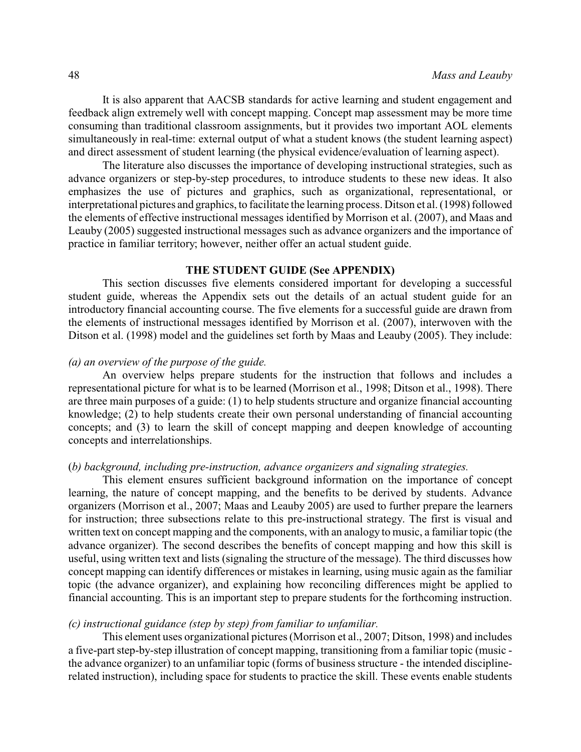It is also apparent that AACSB standards for active learning and student engagement and feedback align extremely well with concept mapping. Concept map assessment may be more time consuming than traditional classroom assignments, but it provides two important AOL elements simultaneously in real-time: external output of what a student knows (the student learning aspect) and direct assessment of student learning (the physical evidence/evaluation of learning aspect).

The literature also discusses the importance of developing instructional strategies, such as advance organizers or step-by-step procedures, to introduce students to these new ideas. It also emphasizes the use of pictures and graphics, such as organizational, representational, or interpretational pictures and graphics, to facilitate the learning process. Ditson et al. (1998) followed the elements of effective instructional messages identified by Morrison et al. (2007), and Maas and Leauby (2005) suggested instructional messages such as advance organizers and the importance of practice in familiar territory; however, neither offer an actual student guide.

## **THE STUDENT GUIDE (See APPENDIX)**

This section discusses five elements considered important for developing a successful student guide, whereas the Appendix sets out the details of an actual student guide for an introductory financial accounting course. The five elements for a successful guide are drawn from the elements of instructional messages identified by Morrison et al. (2007), interwoven with the Ditson et al. (1998) model and the guidelines set forth by Maas and Leauby (2005). They include:

#### *(a) an overview of the purpose of the guide.*

An overview helps prepare students for the instruction that follows and includes a representational picture for what is to be learned (Morrison et al., 1998; Ditson et al., 1998). There are three main purposes of a guide: (1) to help students structure and organize financial accounting knowledge; (2) to help students create their own personal understanding of financial accounting concepts; and (3) to learn the skill of concept mapping and deepen knowledge of accounting concepts and interrelationships.

#### (*b) background, including pre-instruction, advance organizers and signaling strategies.*

This element ensures sufficient background information on the importance of concept learning, the nature of concept mapping, and the benefits to be derived by students. Advance organizers (Morrison et al., 2007; Maas and Leauby 2005) are used to further prepare the learners for instruction; three subsections relate to this pre-instructional strategy. The first is visual and written text on concept mapping and the components, with an analogy to music, a familiar topic (the advance organizer). The second describes the benefits of concept mapping and how this skill is useful, using written text and lists (signaling the structure of the message). The third discusses how concept mapping can identify differences or mistakes in learning, using music again as the familiar topic (the advance organizer), and explaining how reconciling differences might be applied to financial accounting. This is an important step to prepare students for the forthcoming instruction.

#### *(c) instructional guidance (step by step) from familiar to unfamiliar.*

This element uses organizational pictures (Morrison et al., 2007; Ditson, 1998) and includes a five-part step-by-step illustration of concept mapping, transitioning from a familiar topic (music the advance organizer) to an unfamiliar topic (forms of business structure - the intended disciplinerelated instruction), including space for students to practice the skill. These events enable students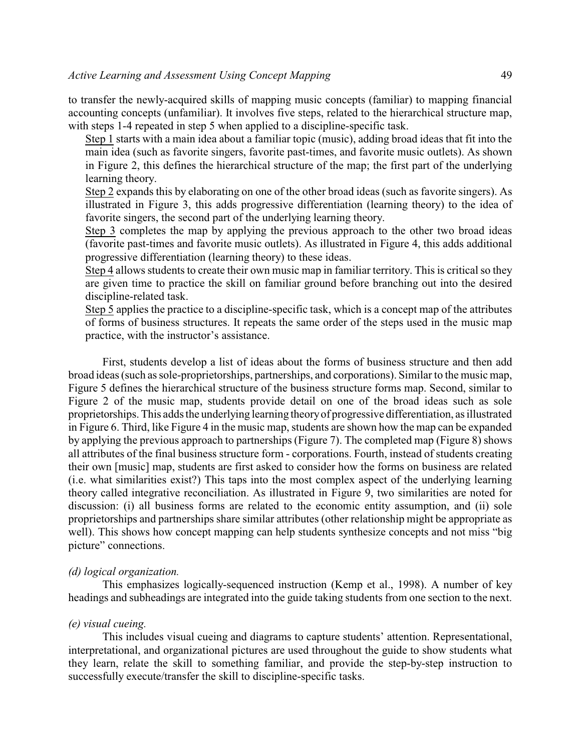to transfer the newly-acquired skills of mapping music concepts (familiar) to mapping financial accounting concepts (unfamiliar). It involves five steps, related to the hierarchical structure map, with steps 1-4 repeated in step 5 when applied to a discipline-specific task.

Step 1 starts with a main idea about a familiar topic (music), adding broad ideas that fit into the main idea (such as favorite singers, favorite past-times, and favorite music outlets). As shown in Figure 2, this defines the hierarchical structure of the map; the first part of the underlying learning theory.

Step 2 expands this by elaborating on one of the other broad ideas (such as favorite singers). As illustrated in Figure 3, this adds progressive differentiation (learning theory) to the idea of favorite singers, the second part of the underlying learning theory.

Step 3 completes the map by applying the previous approach to the other two broad ideas (favorite past-times and favorite music outlets). As illustrated in Figure 4, this adds additional progressive differentiation (learning theory) to these ideas.

Step 4 allows students to create their own music map in familiar territory. This is critical so they are given time to practice the skill on familiar ground before branching out into the desired discipline-related task.

Step 5 applies the practice to a discipline-specific task, which is a concept map of the attributes of forms of business structures. It repeats the same order of the steps used in the music map practice, with the instructor's assistance.

First, students develop a list of ideas about the forms of business structure and then add broad ideas (such as sole-proprietorships, partnerships, and corporations). Similar to the music map, Figure 5 defines the hierarchical structure of the business structure forms map. Second, similar to Figure 2 of the music map, students provide detail on one of the broad ideas such as sole proprietorships. This adds the underlying learning theoryof progressive differentiation, as illustrated in Figure 6. Third, like Figure 4 in the music map, students are shown how the map can be expanded by applying the previous approach to partnerships (Figure 7). The completed map (Figure 8) shows all attributes of the final business structure form - corporations. Fourth, instead of students creating their own [music] map, students are first asked to consider how the forms on business are related (i.e. what similarities exist?) This taps into the most complex aspect of the underlying learning theory called integrative reconciliation. As illustrated in Figure 9, two similarities are noted for discussion: (i) all business forms are related to the economic entity assumption, and (ii) sole proprietorships and partnerships share similar attributes (other relationship might be appropriate as well). This shows how concept mapping can help students synthesize concepts and not miss "big picture" connections.

#### *(d) logical organization.*

This emphasizes logically-sequenced instruction (Kemp et al., 1998). A number of key headings and subheadings are integrated into the guide taking students from one section to the next.

#### *(e) visual cueing.*

This includes visual cueing and diagrams to capture students' attention. Representational, interpretational, and organizational pictures are used throughout the guide to show students what they learn, relate the skill to something familiar, and provide the step-by-step instruction to successfully execute/transfer the skill to discipline-specific tasks.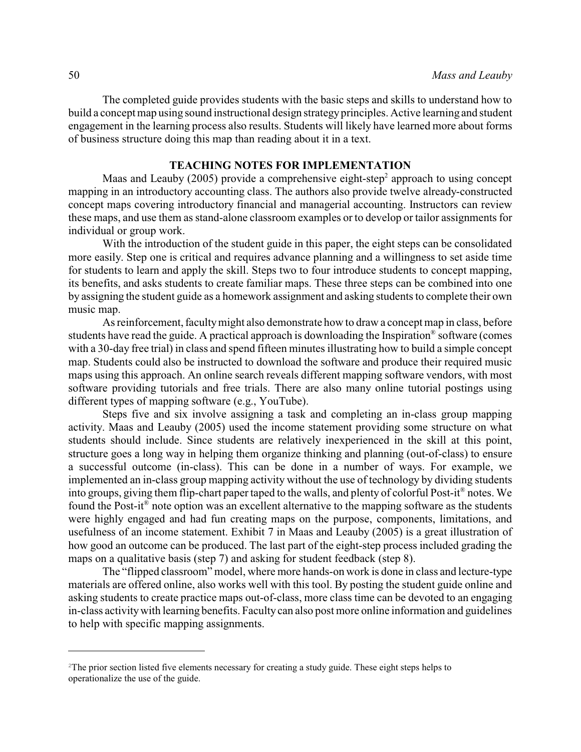The completed guide provides students with the basic steps and skills to understand how to build a concept map using sound instructional design strategyprinciples. Active learning and student engagement in the learning process also results. Students will likely have learned more about forms of business structure doing this map than reading about it in a text.

## **TEACHING NOTES FOR IMPLEMENTATION**

Maas and Leauby (2005) provide a comprehensive eight-step<sup>2</sup> approach to using concept mapping in an introductory accounting class. The authors also provide twelve already-constructed concept maps covering introductory financial and managerial accounting. Instructors can review these maps, and use them as stand-alone classroom examples or to develop or tailor assignments for individual or group work.

With the introduction of the student guide in this paper, the eight steps can be consolidated more easily. Step one is critical and requires advance planning and a willingness to set aside time for students to learn and apply the skill. Steps two to four introduce students to concept mapping, its benefits, and asks students to create familiar maps. These three steps can be combined into one by assigning the student guide as a homework assignment and asking students to complete their own music map.

As reinforcement, facultymight also demonstrate how to draw a concept map in class, before students have read the guide. A practical approach is downloading the Inspiration® software (comes with a 30-day free trial) in class and spend fifteen minutes illustrating how to build a simple concept map. Students could also be instructed to download the software and produce their required music maps using this approach. An online search reveals different mapping software vendors, with most software providing tutorials and free trials. There are also many online tutorial postings using different types of mapping software (e.g., YouTube).

Steps five and six involve assigning a task and completing an in-class group mapping activity. Maas and Leauby (2005) used the income statement providing some structure on what students should include. Since students are relatively inexperienced in the skill at this point, structure goes a long way in helping them organize thinking and planning (out-of-class) to ensure a successful outcome (in-class). This can be done in a number of ways. For example, we implemented an in-class group mapping activity without the use of technology by dividing students into groups, giving them flip-chart paper taped to the walls, and plenty of colorful Post-it® notes. We found the Post-it<sup>®</sup> note option was an excellent alternative to the mapping software as the students were highly engaged and had fun creating maps on the purpose, components, limitations, and usefulness of an income statement. Exhibit 7 in Maas and Leauby (2005) is a great illustration of how good an outcome can be produced. The last part of the eight-step process included grading the maps on a qualitative basis (step 7) and asking for student feedback (step 8).

The "flipped classroom" model, where more hands-on work is done in class and lecture-type materials are offered online, also works well with this tool. By posting the student guide online and asking students to create practice maps out-of-class, more class time can be devoted to an engaging in-class activitywith learning benefits. Faculty can also post more online information and guidelines to help with specific mapping assignments.

<sup>&</sup>lt;sup>2</sup>The prior section listed five elements necessary for creating a study guide. These eight steps helps to operationalize the use of the guide.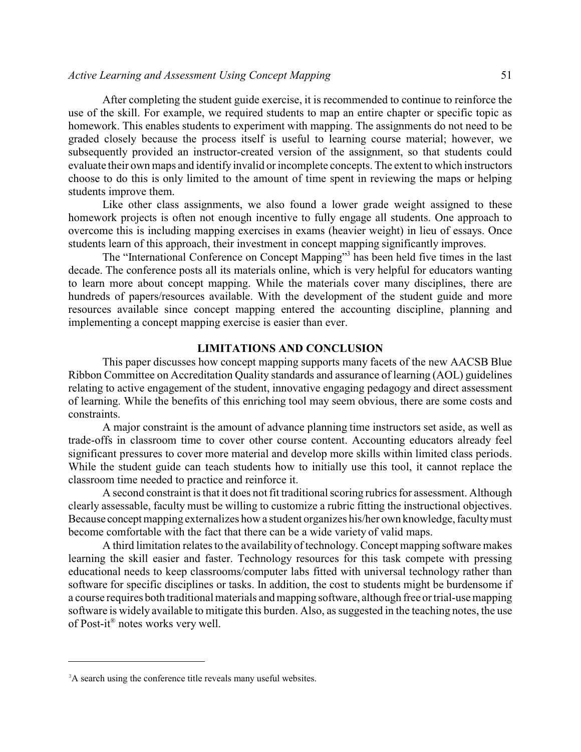#### *Active Learning and Assessment Using Concept Mapping* 51

After completing the student guide exercise, it is recommended to continue to reinforce the use of the skill. For example, we required students to map an entire chapter or specific topic as homework. This enables students to experiment with mapping. The assignments do not need to be graded closely because the process itself is useful to learning course material; however, we subsequently provided an instructor-created version of the assignment, so that students could evaluate their own maps and identify invalid or incomplete concepts. The extent to which instructors choose to do this is only limited to the amount of time spent in reviewing the maps or helping students improve them.

Like other class assignments, we also found a lower grade weight assigned to these homework projects is often not enough incentive to fully engage all students. One approach to overcome this is including mapping exercises in exams (heavier weight) in lieu of essays. Once students learn of this approach, their investment in concept mapping significantly improves.

The "International Conference on Concept Mapping" 3 has been held five times in the last decade. The conference posts all its materials online, which is very helpful for educators wanting to learn more about concept mapping. While the materials cover many disciplines, there are hundreds of papers/resources available. With the development of the student guide and more resources available since concept mapping entered the accounting discipline, planning and implementing a concept mapping exercise is easier than ever.

#### **LIMITATIONS AND CONCLUSION**

This paper discusses how concept mapping supports many facets of the new AACSB Blue Ribbon Committee on Accreditation Quality standards and assurance of learning (AOL) guidelines relating to active engagement of the student, innovative engaging pedagogy and direct assessment of learning. While the benefits of this enriching tool may seem obvious, there are some costs and constraints.

A major constraint is the amount of advance planning time instructors set aside, as well as trade-offs in classroom time to cover other course content. Accounting educators already feel significant pressures to cover more material and develop more skills within limited class periods. While the student guide can teach students how to initially use this tool, it cannot replace the classroom time needed to practice and reinforce it.

A second constraint is that it does not fit traditional scoring rubrics for assessment. Although clearly assessable, faculty must be willing to customize a rubric fitting the instructional objectives. Because concept mapping externalizes how a student organizes his/her own knowledge, faculty must become comfortable with the fact that there can be a wide variety of valid maps.

A third limitation relates to the availability of technology. Concept mapping software makes learning the skill easier and faster. Technology resources for this task compete with pressing educational needs to keep classrooms/computer labs fitted with universal technology rather than software for specific disciplines or tasks. In addition, the cost to students might be burdensome if a course requires both traditional materials and mapping software, although free or trial-use mapping software is widely available to mitigate this burden. Also, as suggested in the teaching notes, the use of Post-it® notes works very well.

<sup>&</sup>lt;sup>3</sup>A search using the conference title reveals many useful websites.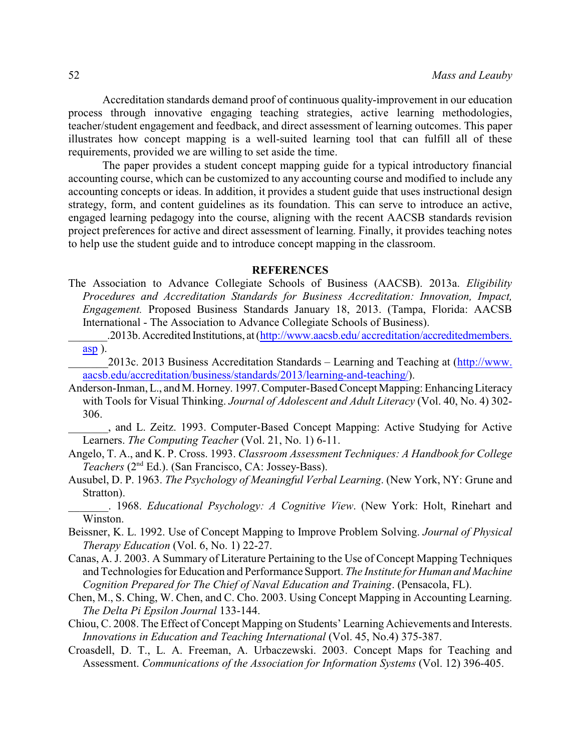Accreditation standards demand proof of continuous quality-improvement in our education process through innovative engaging teaching strategies, active learning methodologies, teacher/student engagement and feedback, and direct assessment of learning outcomes. This paper illustrates how concept mapping is a well-suited learning tool that can fulfill all of these requirements, provided we are willing to set aside the time.

The paper provides a student concept mapping guide for a typical introductory financial accounting course, which can be customized to any accounting course and modified to include any accounting concepts or ideas. In addition, it provides a student guide that uses instructional design strategy, form, and content guidelines as its foundation. This can serve to introduce an active, engaged learning pedagogy into the course, aligning with the recent AACSB standards revision project preferences for active and direct assessment of learning. Finally, it provides teaching notes to help use the student guide and to introduce concept mapping in the classroom.

#### **REFERENCES**

- The Association to Advance Collegiate Schools of Business (AACSB). 2013a. *Eligibility Procedures and Accreditation Standards for Business Accreditation: Innovation, Impact, Engagement.* Proposed Business Standards January 18, 2013. (Tampa, Florida: AACSB International - The Association to Advance Collegiate Schools of Business).
	- .2013b. Accredited Institutions, at (http://www.aacsb.edu/ [accreditation/accreditedmembers.](http://www.aacsb.edu/accreditation/accreditedmembers.asp) [asp](http://www.aacsb.edu/accreditation/accreditedmembers.asp) ).
	- \_\_\_\_\_\_\_2013c. 2013 Business Accreditation Standards Learning and Teaching at ([http://www.](http://www.aacsb.edu/accreditation/business/standards/2013/learning-and-teaching/) [aacsb.edu/accreditation/business/standards/2013/learning-and-teaching/](http://www.aacsb.edu/accreditation/business/standards/2013/learning-and-teaching/)).
- Anderson-Inman, L., and M. Horney. 1997. Computer-Based Concept Mapping: Enhancing Literacy with Tools for Visual Thinking. *Journal of Adolescent and Adult Literacy* (Vol. 40, No. 4) 302- 306.
- \_\_\_\_\_\_\_, and L. Zeitz. 1993. Computer-Based Concept Mapping: Active Studying for Active Learners. *The Computing Teacher* (Vol. 21, No. 1) 6-11.
- Angelo, T. A., and K. P. Cross. 1993. *Classroom Assessment Techniques: A Handbook for College* Teachers (2<sup>nd</sup> Ed.). (San Francisco, CA: Jossey-Bass).
- Ausubel, D. P. 1963. *The Psychology of Meaningful Verbal Learning*. (New York, NY: Grune and Stratton).
- \_\_\_\_\_\_\_. 1968. *Educational Psychology: A Cognitive View*. (New York: Holt, Rinehart and Winston.
- Beissner, K. L. 1992. Use of Concept Mapping to Improve Problem Solving. *Journal of Physical Therapy Education* (Vol. 6, No. 1) 22-27.
- Canas, A. J. 2003. A Summary of Literature Pertaining to the Use of Concept Mapping Techniques and Technologies for Education and Performance Support. *The Institute for Human and Machine Cognition Prepared for The Chief of Naval Education and Training*. (Pensacola, FL).
- Chen, M., S. Ching, W. Chen, and C. Cho. 2003. Using Concept Mapping in Accounting Learning. *The Delta Pi Epsilon Journal* 133-144.
- Chiou, C. 2008. The Effect of Concept Mapping on Students' Learning Achievements and Interests. *Innovations in Education and Teaching International* (Vol. 45, No.4) 375-387.
- Croasdell, D. T., L. A. Freeman, A. Urbaczewski. 2003. Concept Maps for Teaching and Assessment. *Communications of the Association for Information Systems* (Vol. 12) 396-405.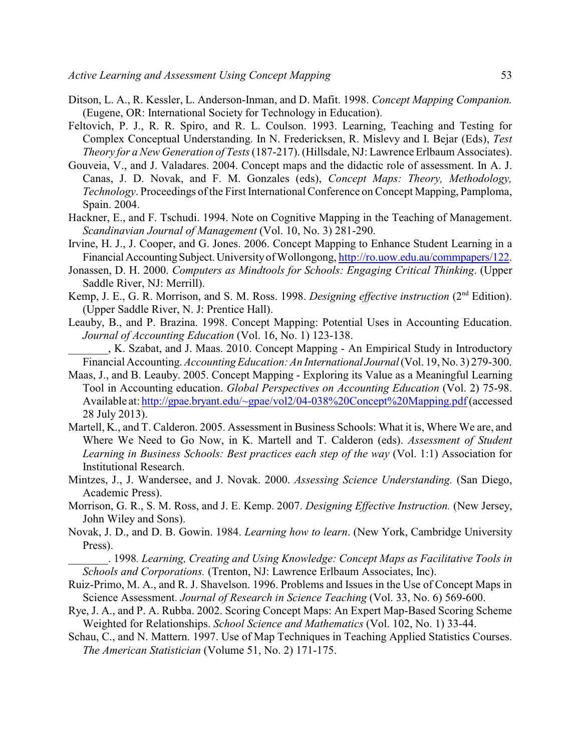- Ditson, L. A., R. Kessler, L. Anderson-Inman, and D. Mafit. 1998. *Concept Mapping Companion.* (Eugene, OR: International Society for Technology in Education).
- Feltovich, P. J., R. R. Spiro, and R. L. Coulson. 1993. Learning, Teaching and Testing for Complex Conceptual Understanding. In N. Fredericksen, R. Mislevy and I. Bejar (Eds), *Test Theory for a New Generation of Tests* (187-217). (Hillsdale, NJ: Lawrence Erlbaum Associates).
- Gouveia, V., and J. Valadares. 2004. Concept maps and the didactic role of assessment. In A. J. Canas, J. D. Novak, and F. M. Gonzales (eds), *Concept Maps: Theory, Methodology, Technology*. Proceedings of the First International Conference on Concept Mapping, Pamploma, Spain. 2004.
- Hackner, E., and F. Tschudi. 1994. Note on Cognitive Mapping in the Teaching of Management. *Scandinavian Journal of Management* (Vol. 10, No. 3) 281-290.
- Irvine, H. J., J. Cooper, and G. Jones. 2006. Concept Mapping to Enhance Student Learning in a Financial Accounting Subject. University of Wollongong, [http://ro.uow.edu.au/commpapers/122.](http://ro.uow.edu.au/commpapers/122)
- Jonassen, D. H. 2000. *Computers as Mindtools for Schools: Engaging Critical Thinking*. (Upper Saddle River, NJ: Merrill).
- Kemp, J. E., G. R. Morrison, and S. M. Ross. 1998. *Designing effective instruction* (2<sup>nd</sup> Edition). (Upper Saddle River, N. J: Prentice Hall).
- Leauby, B., and P. Brazina. 1998. Concept Mapping: Potential Uses in Accounting Education. *Journal of Accounting Education* (Vol. 16, No. 1) 123-138.
- \_\_\_\_\_\_\_, K. Szabat, and J. Maas. 2010. Concept Mapping An Empirical Study in Introductory Financial Accounting. *Accounting Education: An International Journal*(Vol. 19, No. 3) 279-300.
- Maas, J., and B. Leauby. 2005. Concept Mapping Exploring its Value as a Meaningful Learning Tool in Accounting education. *Global Perspectives on Accounting Education* (Vol. 2) 75-98. Available at:<http://gpae.bryant.edu/~gpae/vol2/04-038%20Concept%20Mapping.pdf>(accessed 28 July 2013).
- Martell, K., and T. Calderon. 2005. Assessment in Business Schools: What it is, Where We are, and Where We Need to Go Now, in K. Martell and T. Calderon (eds). *Assessment of Student Learning in Business Schools: Best practices each step of the way* (Vol. 1:1) Association for Institutional Research.
- Mintzes, J., J. Wandersee, and J. Novak. 2000. *Assessing Science Understanding.* (San Diego, Academic Press).
- Morrison, G. R., S. M. Ross, and J. E. Kemp. 2007. *Designing Effective Instruction.* (New Jersey, John Wiley and Sons).
- Novak, J. D., and D. B. Gowin. 1984. *Learning how to learn*. (New York, Cambridge University Press).
	- \_\_\_\_\_\_\_. 1998*. Learning, Creating and Using Knowledge: Concept Maps as Facilitative Tools in Schools and Corporations.* (Trenton, NJ: Lawrence Erlbaum Associates, Inc).
- Ruiz-Primo, M. A., and R. J. Shavelson. 1996. Problems and Issues in the Use of Concept Maps in Science Assessment. *Journal of Research in Science Teaching* (Vol. 33, No. 6) 569-600.
- Rye, J. A., and P. A. Rubba. 2002. Scoring Concept Maps: An Expert Map-Based Scoring Scheme Weighted for Relationships. *School Science and Mathematics* (Vol. 102, No. 1) 33-44.
- Schau, C., and N. Mattern. 1997. Use of Map Techniques in Teaching Applied Statistics Courses. *The American Statistician* (Volume 51, No. 2) 171-175.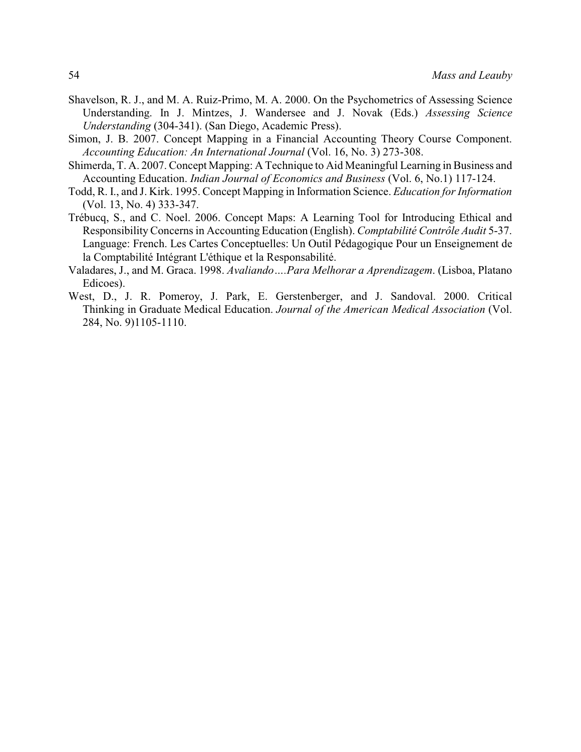- Shavelson, R. J., and M. A. Ruiz-Primo, M. A. 2000. On the Psychometrics of Assessing Science Understanding. In J. Mintzes, J. Wandersee and J. Novak (Eds.) *Assessing Science Understanding* (304-341). (San Diego, Academic Press).
- Simon, J. B. 2007. Concept Mapping in a Financial Accounting Theory Course Component. *Accounting Education: An International Journal* (Vol. 16, No. 3) 273-308.
- Shimerda, T. A. 2007. Concept Mapping: A Technique to Aid Meaningful Learning in Business and Accounting Education. *Indian Journal of Economics and Business* (Vol. 6, No.1) 117-124.
- Todd, R. I., and J. Kirk. 1995. Concept Mapping in Information Science. *Education for Information* (Vol. 13, No. 4) 333-347.
- Trébucq, S., and C. Noel. 2006. Concept Maps: A Learning Tool for Introducing Ethical and Responsibility Concerns in Accounting Education (English). *Comptabilité Contrôle Audit* 5-37. Language: French. Les Cartes Conceptuelles: Un Outil Pédagogique Pour un Enseignement de la Comptabilité Intégrant L'éthique et la Responsabilité.
- Valadares, J., and M. Graca. 1998. *Avaliando….Para Melhorar a Aprendizagem*. (Lisboa, Platano Edicoes).
- West, D., J. R. Pomeroy, J. Park, E. Gerstenberger, and J. Sandoval. 2000. Critical Thinking in Graduate Medical Education. *Journal of the American Medical Association* (Vol. 284, No. 9)1105-1110.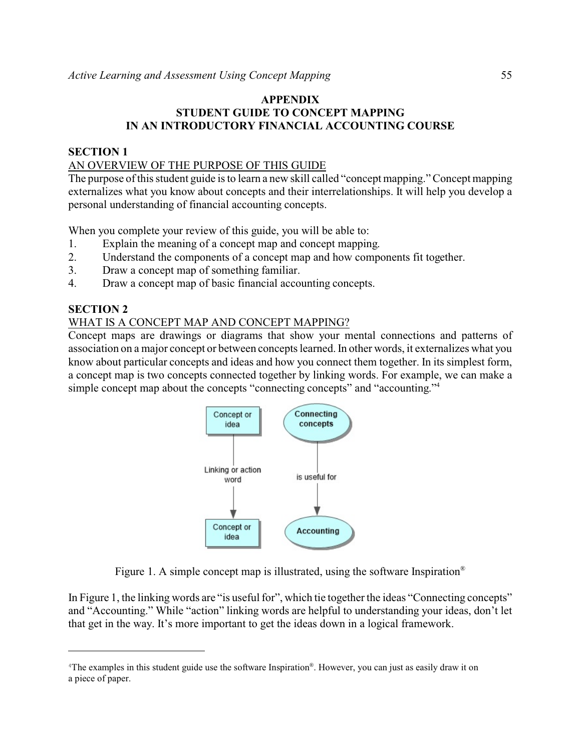# **APPENDIX STUDENT GUIDE TO CONCEPT MAPPING IN AN INTRODUCTORY FINANCIAL ACCOUNTING COURSE**

# **SECTION 1**

# AN OVERVIEW OF THE PURPOSE OF THIS GUIDE

The purpose of this student guide is to learn a new skill called "concept mapping." Concept mapping externalizes what you know about concepts and their interrelationships. It will help you develop a personal understanding of financial accounting concepts.

When you complete your review of this guide, you will be able to:

- 1. Explain the meaning of a concept map and concept mapping.
- 2. Understand the components of a concept map and how components fit together.
- 3. Draw a concept map of something familiar.
- 4. Draw a concept map of basic financial accounting concepts.

# **SECTION 2**

## WHAT IS A CONCEPT MAP AND CONCEPT MAPPING?

Concept maps are drawings or diagrams that show your mental connections and patterns of association on a major concept or between concepts learned. In other words, it externalizes what you know about particular concepts and ideas and how you connect them together. In its simplest form, a concept map is two concepts connected together by linking words. For example, we can make a simple concept map about the concepts "connecting concepts" and "accounting." 4



Figure 1. A simple concept map is illustrated, using the software Inspiration®

In Figure 1, the linking words are "is useful for", which tie together the ideas "Connecting concepts" and "Accounting." While "action" linking words are helpful to understanding your ideas, don't let that get in the way. It's more important to get the ideas down in a logical framework.

<sup>&</sup>lt;sup>4</sup>The examples in this student guide use the software Inspiration<sup>®</sup>. However, you can just as easily draw it on a piece of paper.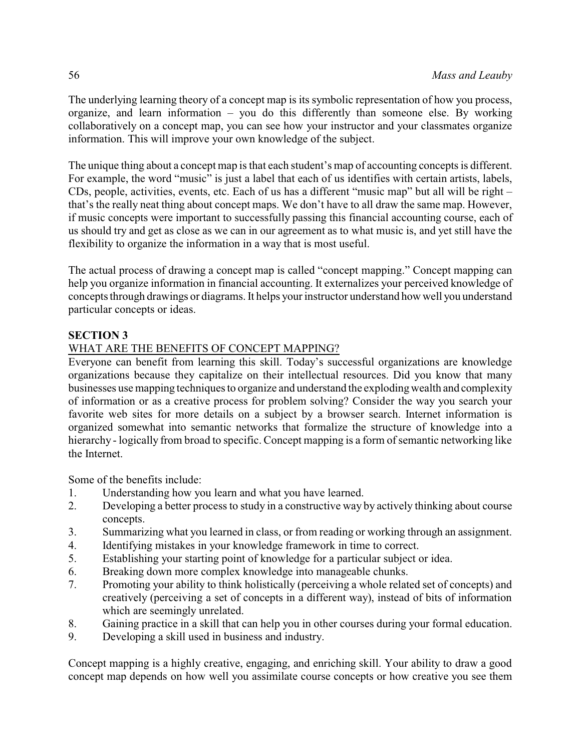The underlying learning theory of a concept map is its symbolic representation of how you process, organize, and learn information – you do this differently than someone else. By working collaboratively on a concept map, you can see how your instructor and your classmates organize information. This will improve your own knowledge of the subject.

The unique thing about a concept map is that each student's map of accounting concepts is different. For example, the word "music" is just a label that each of us identifies with certain artists, labels, CDs, people, activities, events, etc. Each of us has a different "music map" but all will be right – that's the really neat thing about concept maps. We don't have to all draw the same map. However, if music concepts were important to successfully passing this financial accounting course, each of us should try and get as close as we can in our agreement as to what music is, and yet still have the flexibility to organize the information in a way that is most useful.

The actual process of drawing a concept map is called "concept mapping." Concept mapping can help you organize information in financial accounting. It externalizes your perceived knowledge of concepts through drawings or diagrams. It helps your instructor understand how well you understand particular concepts or ideas.

# **SECTION 3**

# WHAT ARE THE BENEFITS OF CONCEPT MAPPING?

Everyone can benefit from learning this skill. Today's successful organizations are knowledge organizations because they capitalize on their intellectual resources. Did you know that many businesses use mapping techniques to organize and understand the explodingwealth and complexity of information or as a creative process for problem solving? Consider the way you search your favorite web sites for more details on a subject by a browser search. Internet information is organized somewhat into semantic networks that formalize the structure of knowledge into a hierarchy - logically from broad to specific. Concept mapping is a form of semantic networking like the Internet.

Some of the benefits include:

- 1. Understanding how you learn and what you have learned.
- 2. Developing a better process to study in a constructive way by actively thinking about course concepts.
- 3. Summarizing what you learned in class, or from reading or working through an assignment.
- 4. Identifying mistakes in your knowledge framework in time to correct.
- 5. Establishing your starting point of knowledge for a particular subject or idea.
- 6. Breaking down more complex knowledge into manageable chunks.
- 7. Promoting your ability to think holistically (perceiving a whole related set of concepts) and creatively (perceiving a set of concepts in a different way), instead of bits of information which are seemingly unrelated.
- 8. Gaining practice in a skill that can help you in other courses during your formal education.
- 9. Developing a skill used in business and industry.

Concept mapping is a highly creative, engaging, and enriching skill. Your ability to draw a good concept map depends on how well you assimilate course concepts or how creative you see them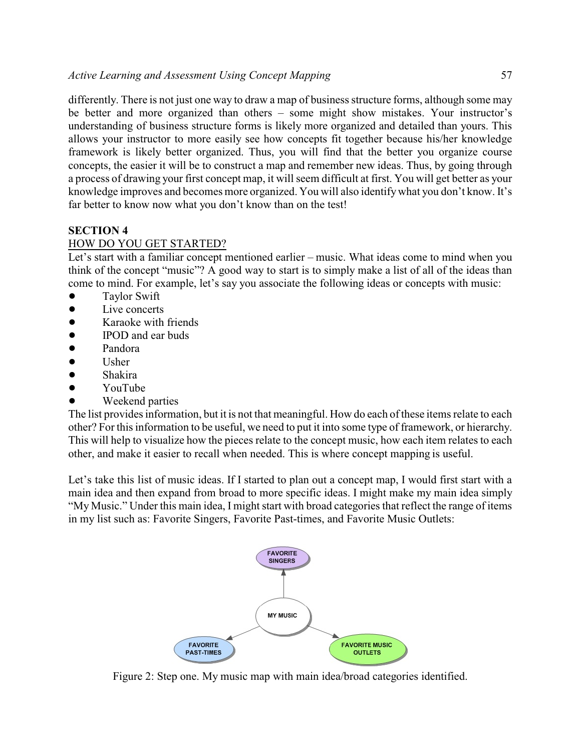differently. There is not just one way to draw a map of business structure forms, although some may be better and more organized than others – some might show mistakes. Your instructor's understanding of business structure forms is likely more organized and detailed than yours. This allows your instructor to more easily see how concepts fit together because his/her knowledge framework is likely better organized. Thus, you will find that the better you organize course concepts, the easier it will be to construct a map and remember new ideas. Thus, by going through a process of drawing your first concept map, it will seem difficult at first. You will get better as your knowledge improves and becomes more organized. You will also identifywhat you don't know. It's far better to know now what you don't know than on the test!

# **SECTION 4**

# HOW DO YOU GET STARTED?

Let's start with a familiar concept mentioned earlier – music. What ideas come to mind when you think of the concept "music"? A good way to start is to simply make a list of all of the ideas than come to mind. For example, let's say you associate the following ideas or concepts with music:

- Taylor Swift
- Live concerts
- Karaoke with friends
- IPOD and ear buds
- Pandora
- $\bullet$  Usher
- Shakira
- YouTube
- Weekend parties

The list provides information, but it is not that meaningful. How do each of these items relate to each other? For this information to be useful, we need to put it into some type of framework, or hierarchy. This will help to visualize how the pieces relate to the concept music, how each item relates to each other, and make it easier to recall when needed. This is where concept mapping is useful.

Let's take this list of music ideas. If I started to plan out a concept map, I would first start with a main idea and then expand from broad to more specific ideas. I might make my main idea simply "My Music." Under this main idea, I might start with broad categories that reflect the range of items in my list such as: Favorite Singers, Favorite Past-times, and Favorite Music Outlets:



Figure 2: Step one. My music map with main idea/broad categories identified.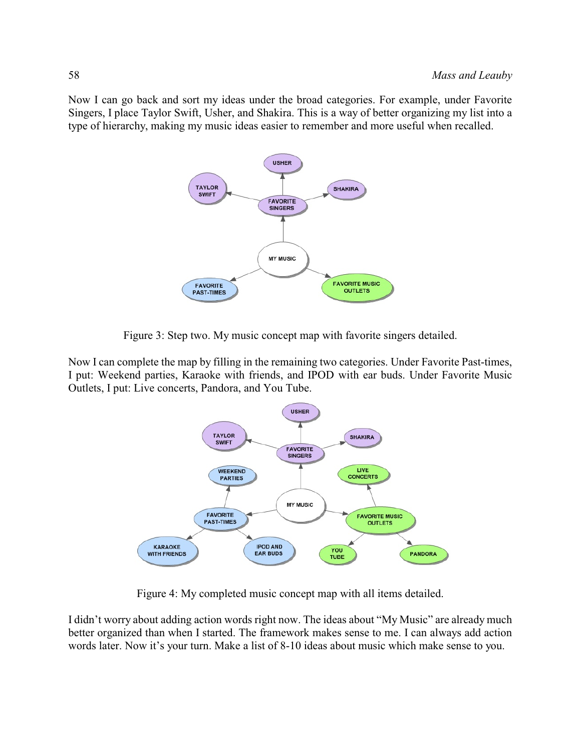Now I can go back and sort my ideas under the broad categories. For example, under Favorite Singers, I place Taylor Swift, Usher, and Shakira. This is a way of better organizing my list into a type of hierarchy, making my music ideas easier to remember and more useful when recalled.



Figure 3: Step two. My music concept map with favorite singers detailed.

Now I can complete the map by filling in the remaining two categories. Under Favorite Past-times, I put: Weekend parties, Karaoke with friends, and IPOD with ear buds. Under Favorite Music Outlets, I put: Live concerts, Pandora, and You Tube.



Figure 4: My completed music concept map with all items detailed.

I didn't worry about adding action words right now. The ideas about "My Music" are already much better organized than when I started. The framework makes sense to me. I can always add action words later. Now it's your turn. Make a list of 8-10 ideas about music which make sense to you.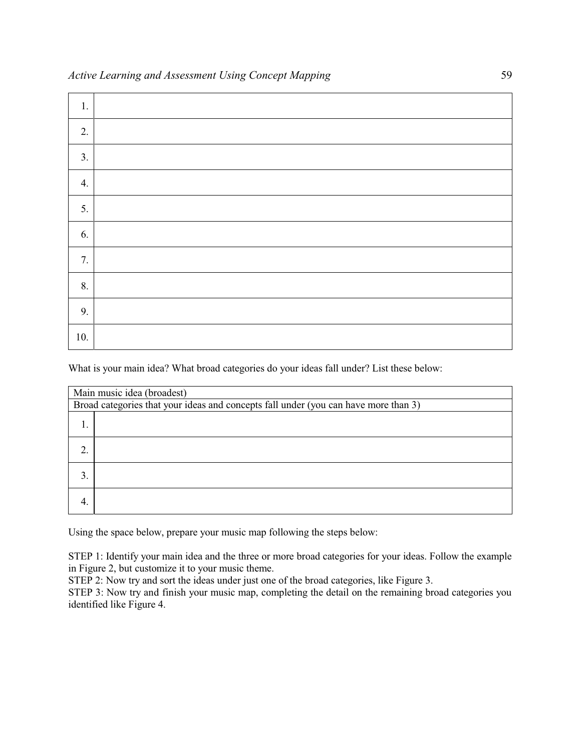| 1.  |  |
|-----|--|
| 2.  |  |
| 3.  |  |
| 4.  |  |
| 5.  |  |
| 6.  |  |
| 7.  |  |
| 8.  |  |
| 9.  |  |
| 10. |  |

What is your main idea? What broad categories do your ideas fall under? List these below:

| Main music idea (broadest)                                                          |  |  |
|-------------------------------------------------------------------------------------|--|--|
| Broad categories that your ideas and concepts fall under (you can have more than 3) |  |  |
|                                                                                     |  |  |
| 2.                                                                                  |  |  |
| 3.                                                                                  |  |  |
| 4.                                                                                  |  |  |

Using the space below, prepare your music map following the steps below:

STEP 1: Identify your main idea and the three or more broad categories for your ideas. Follow the example in Figure 2, but customize it to your music theme.

STEP 2: Now try and sort the ideas under just one of the broad categories, like Figure 3.

STEP 3: Now try and finish your music map, completing the detail on the remaining broad categories you identified like Figure 4.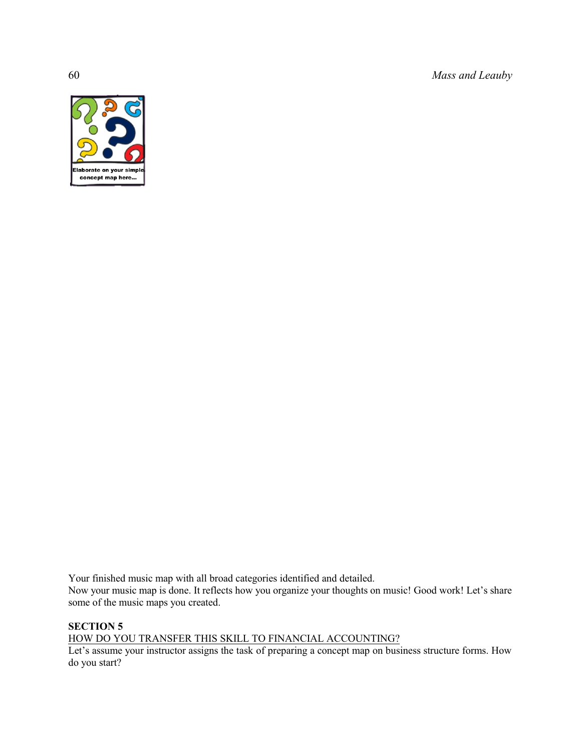60 *Mass and Leauby*



Your finished music map with all broad categories identified and detailed. Now your music map is done. It reflects how you organize your thoughts on music! Good work! Let's share some of the music maps you created.

# **SECTION 5**

HOW DO YOU TRANSFER THIS SKILL TO FINANCIAL ACCOUNTING?

Let's assume your instructor assigns the task of preparing a concept map on business structure forms. How do you start?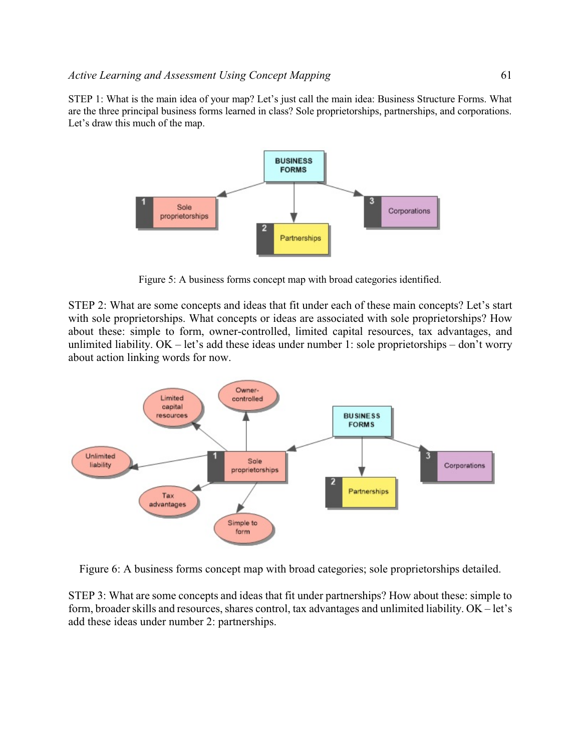STEP 1: What is the main idea of your map? Let's just call the main idea: Business Structure Forms. What are the three principal business forms learned in class? Sole proprietorships, partnerships, and corporations. Let's draw this much of the map.



Figure 5: A business forms concept map with broad categories identified.

STEP 2: What are some concepts and ideas that fit under each of these main concepts? Let's start with sole proprietorships. What concepts or ideas are associated with sole proprietorships? How about these: simple to form, owner-controlled, limited capital resources, tax advantages, and unlimited liability. OK – let's add these ideas under number 1: sole proprietorships – don't worry about action linking words for now.



Figure 6: A business forms concept map with broad categories; sole proprietorships detailed.

STEP 3: What are some concepts and ideas that fit under partnerships? How about these: simple to form, broader skills and resources, shares control, tax advantages and unlimited liability. OK – let's add these ideas under number 2: partnerships.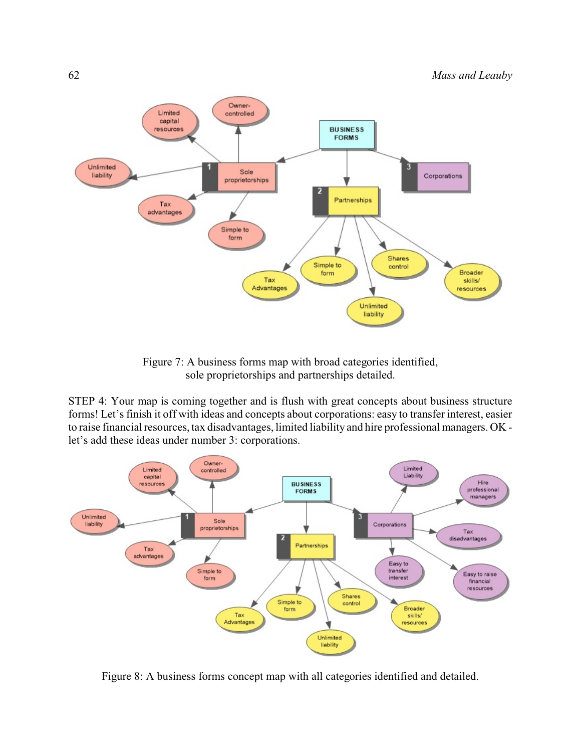

Figure 7: A business forms map with broad categories identified, sole proprietorships and partnerships detailed.

STEP 4: Your map is coming together and is flush with great concepts about business structure forms! Let's finish it off with ideas and concepts about corporations: easy to transfer interest, easier to raise financial resources, tax disadvantages, limited liability and hire professional managers. OK let's add these ideas under number 3: corporations.



Figure 8: A business forms concept map with all categories identified and detailed.